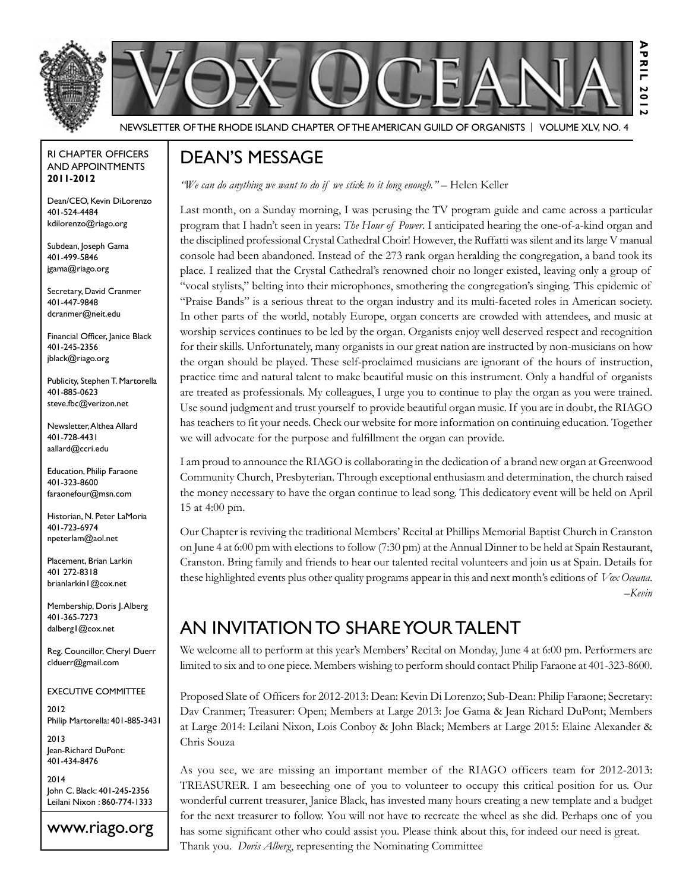



**A p r i l 2 0 2**

Newsletter of the Rhode Island Chapter of the American Guild of OrganistS | Volume XLV, No. 4

#### RI Chapter Officers and Appointments **2011-2012**

Dean/CEO, Kevin DiLorenzo 401-524-4484 kdilorenzo@riago.org

Subdean, Joseph Gama 401-499-5846 jgama@riago.org

Secretary, David Cranmer 401-447-9848 dcranmer@neit.edu

Financial Officer, Janice Black 401-245-2356 jblack@riago.org

Publicity, Stephen T. Martorella 401-885-0623 steve.fbc@verizon.net

Newsletter, Althea Allard 401-728-4431 aallard@ccri.edu

Education, Philip Faraone 401-323-8600 faraonefour@msn.com

Historian, N. Peter LaMoria 401-723-6974 npeterlam@aol.net

Placement, Brian Larkin 401 272-8318 brianlarkin1@cox.net

Membership, Doris J. Alberg 401-365-7273 dalberg1@cox.net

Reg. Councillor, Cheryl Duerr clduerr@gmail.com

#### Executive Committee

2012 Philip Martorella: 401-885-3431

2013 Jean-Richard DuPont: 401-434-8476

2014 John C. Black: 401-245-2356 Leilani Nixon : 860-774-1333



### Dean's Message

*"We can do anything we want to do if we stick to it long enough."* – Helen Keller

Last month, on a Sunday morning, I was perusing the TV program guide and came across a particular program that I hadn't seen in years: *The Hour of Power*. I anticipated hearing the one-of-a-kind organ and the disciplined professional Crystal Cathedral Choir! However, the Ruffatti was silent and its large V manual console had been abandoned. Instead of the 273 rank organ heralding the congregation, a band took its place. I realized that the Crystal Cathedral's renowned choir no longer existed, leaving only a group of "vocal stylists," belting into their microphones, smothering the congregation's singing. This epidemic of "Praise Bands" is a serious threat to the organ industry and its multi-faceted roles in American society. In other parts of the world, notably Europe, organ concerts are crowded with attendees, and music at worship services continues to be led by the organ. Organists enjoy well deserved respect and recognition for their skills. Unfortunately, many organists in our great nation are instructed by non-musicians on how the organ should be played. These self-proclaimed musicians are ignorant of the hours of instruction, practice time and natural talent to make beautiful music on this instrument. Only a handful of organists are treated as professionals. My colleagues, I urge you to continue to play the organ as you were trained. Use sound judgment and trust yourself to provide beautiful organ music. If you are in doubt, the RIAGO has teachers to fit your needs. Check our website for more information on continuing education. Together we will advocate for the purpose and fulfillment the organ can provide.

I am proud to announce the RIAGO is collaborating in the dedication of a brand new organ at Greenwood Community Church, Presbyterian. Through exceptional enthusiasm and determination, the church raised the money necessary to have the organ continue to lead song. This dedicatory event will be held on April 15 at 4:00 pm.

Our Chapter is reviving the traditional Members' Recital at Phillips Memorial Baptist Church in Cranston on June 4 at 6:00 pm with elections to follow (7:30 pm) at the Annual Dinner to be held at Spain Restaurant, Cranston. Bring family and friends to hear our talented recital volunteers and join us at Spain. Details for these highlighted events plus other quality programs appear in this and next month's editions of *Vox Oceana*. *–Kevin*

## An Invitation to Share Your Talent

We welcome all to perform at this year's Members' Recital on Monday, June 4 at 6:00 pm. Performers are limited to six and to one piece. Members wishing to perform should contact Philip Faraone at 401-323-8600.

Proposed Slate of Officers for 2012-2013: Dean: Kevin Di Lorenzo; Sub-Dean: Philip Faraone; Secretary: Dav Cranmer; Treasurer: Open; Members at Large 2013: Joe Gama & Jean Richard DuPont; Members at Large 2014: Leilani Nixon, Lois Conboy & John Black; Members at Large 2015: Elaine Alexander & Chris Souza

As you see, we are missing an important member of the RIAGO officers team for 2012-2013: TREASURER. I am beseeching one of you to volunteer to occupy this critical position for us. Our wonderful current treasurer, Janice Black, has invested many hours creating a new template and a budget for the next treasurer to follow. You will not have to recreate the wheel as she did. Perhaps one of you has some significant other who could assist you. Please think about this, for indeed our need is great. Thank you. *Doris Alberg*, representing the Nominating Committee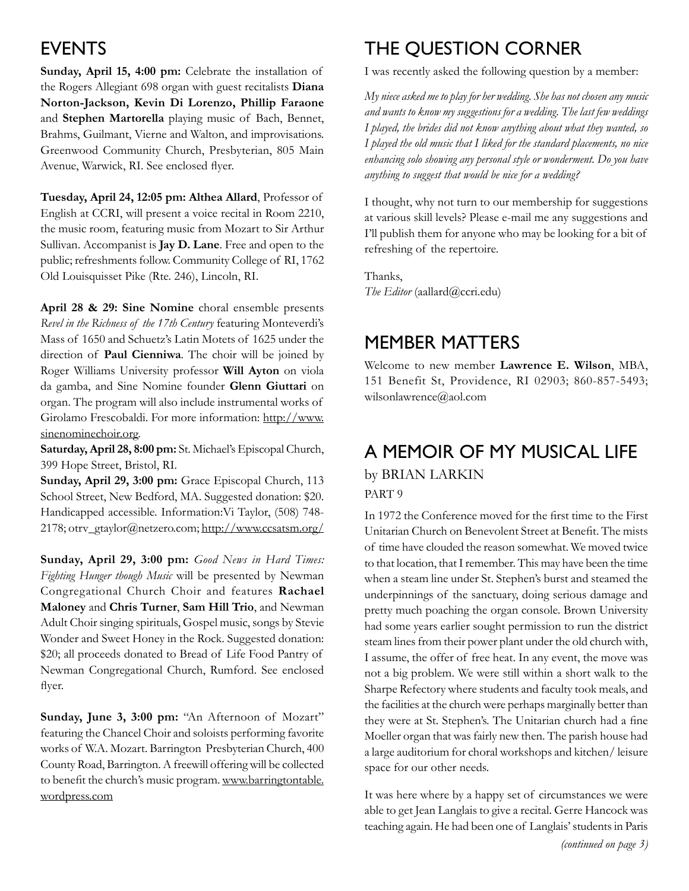## **EVENTS**

**Sunday, April 15, 4:00 pm:** Celebrate the installation of the Rogers Allegiant 698 organ with guest recitalists **Diana Norton-Jackson, Kevin Di Lorenzo, Phillip Faraone**  and **Stephen Martorella** playing music of Bach, Bennet, Brahms, Guilmant, Vierne and Walton, and improvisations. Greenwood Community Church, Presbyterian, 805 Main Avenue, Warwick, RI. See enclosed flyer.

**Tuesday, April 24, 12:05 pm: Althea Allard**, Professor of English at CCRI, will present a voice recital in Room 2210, the music room, featuring music from Mozart to Sir Arthur Sullivan. Accompanist is **Jay D. Lane**. Free and open to the public; refreshments follow. Community College of RI, 1762 Old Louisquisset Pike (Rte. 246), Lincoln, RI.

**April 28 & 29: Sine Nomine** choral ensemble presents *Revel in the Richness of the 17th Century* featuring Monteverdi's Mass of 1650 and Schuetz's Latin Motets of 1625 under the direction of **Paul Cienniwa**. The choir will be joined by Roger Williams University professor **Will Ayton** on viola da gamba, and Sine Nomine founder **Glenn Giuttari** on organ. The program will also include instrumental works of Girolamo Frescobaldi. For more information: http://www. sinenominechoir.org.

**Saturday, April 28, 8:00 pm:** St. Michael's Episcopal Church, 399 Hope Street, Bristol, RI.

**Sunday, April 29, 3:00 pm:** Grace Episcopal Church, 113 School Street, New Bedford, MA. Suggested donation: \$20. Handicapped accessible. Information:Vi Taylor, (508) 748- 2178; otrv\_gtaylor@netzero.com; http://www.ccsatsm.org/

**Sunday, April 29, 3:00 pm:** *Good News in Hard Times: Fighting Hunger though Music* will be presented by Newman Congregational Church Choir and features **Rachael Maloney** and **Chris Turner**, **Sam Hill Trio**, and Newman Adult Choir singing spirituals, Gospel music, songs by Stevie Wonder and Sweet Honey in the Rock. Suggested donation: \$20; all proceeds donated to Bread of Life Food Pantry of Newman Congregational Church, Rumford. See enclosed flyer.

**Sunday, June 3, 3:00 pm:** "An Afternoon of Mozart" featuring the Chancel Choir and soloists performing favorite works of W.A. Mozart. Barrington Presbyterian Church, 400 County Road, Barrington. A freewill offering will be collected to benefit the church's music program. www.barringtontable. wordpress.com

# The Question Corner

I was recently asked the following question by a member:

*My niece asked me to play for her wedding. She has not chosen any music and wants to know my suggestions for a wedding. The last few weddings I played, the brides did not know anything about what they wanted, so I played the old music that I liked for the standard placements, no nice enhancing solo showing any personal style or wonderment. Do you have anything to suggest that would be nice for a wedding?*

I thought, why not turn to our membership for suggestions at various skill levels? Please e-mail me any suggestions and I'll publish them for anyone who may be looking for a bit of refreshing of the repertoire.

Thanks, *The Editor* (aallard@ccri.edu)

### Member Matters

Welcome to new member **Lawrence E. Wilson**, MBA, 151 Benefit St, Providence, RI 02903; 860-857-5493; wilsonlawrence@aol.com

# A Memoir of My Musical Life

by Brian Larkin PART 9

In 1972 the Conference moved for the first time to the First Unitarian Church on Benevolent Street at Benefit. The mists of time have clouded the reason somewhat. We moved twice to that location, that I remember. This may have been the time when a steam line under St. Stephen's burst and steamed the underpinnings of the sanctuary, doing serious damage and pretty much poaching the organ console. Brown University had some years earlier sought permission to run the district steam lines from their power plant under the old church with, I assume, the offer of free heat. In any event, the move was not a big problem. We were still within a short walk to the Sharpe Refectory where students and faculty took meals, and the facilities at the church were perhaps marginally better than they were at St. Stephen's. The Unitarian church had a fine Moeller organ that was fairly new then. The parish house had a large auditorium for choral workshops and kitchen/ leisure space for our other needs.

It was here where by a happy set of circumstances we were able to get Jean Langlais to give a recital. Gerre Hancock was teaching again. He had been one of Langlais' students in Paris